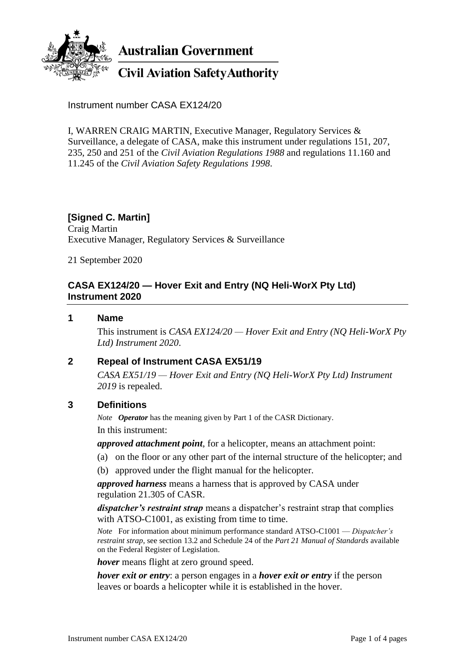

**Australian Government** 

# **Civil Aviation Safety Authority**

Instrument number CASA EX124/20

I, WARREN CRAIG MARTIN, Executive Manager, Regulatory Services & Surveillance, a delegate of CASA, make this instrument under regulations 151, 207, 235, 250 and 251 of the *Civil Aviation Regulations 1988* and regulations 11.160 and 11.245 of the *Civil Aviation Safety Regulations 1998*.

### **[Signed C. Martin]** Craig Martin Executive Manager, Regulatory Services & Surveillance

21 September 2020

# **CASA EX124/20 — Hover Exit and Entry (NQ Heli-WorX Pty Ltd) Instrument 2020**

### **1 Name**

This instrument is *CASA EX124/20 — Hover Exit and Entry (NQ Heli-WorX Pty Ltd) Instrument 2020*.

## **2 Repeal of Instrument CASA EX51/19**

*CASA EX51/19 — Hover Exit and Entry (NQ Heli-WorX Pty Ltd) Instrument 2019* is repealed.

### **3 Definitions**

*Note Operator* has the meaning given by Part 1 of the CASR Dictionary. In this instrument:

*approved attachment point*, for a helicopter, means an attachment point:

- (a) on the floor or any other part of the internal structure of the helicopter; and
- (b) approved under the flight manual for the helicopter.

*approved harness* means a harness that is approved by CASA under regulation 21.305 of CASR.

*dispatcher's restraint strap* means a dispatcher's restraint strap that complies with ATSO-C1001, as existing from time to time.

*Note* For information about minimum performance standard ATSO-C1001 — *Dispatcher's restraint strap*, see section 13.2 and Schedule 24 of the *Part 21 Manual of Standards* available on the Federal Register of Legislation.

*hover* means flight at zero ground speed.

*hover exit or entry*: a person engages in a *hover exit or entry* if the person leaves or boards a helicopter while it is established in the hover.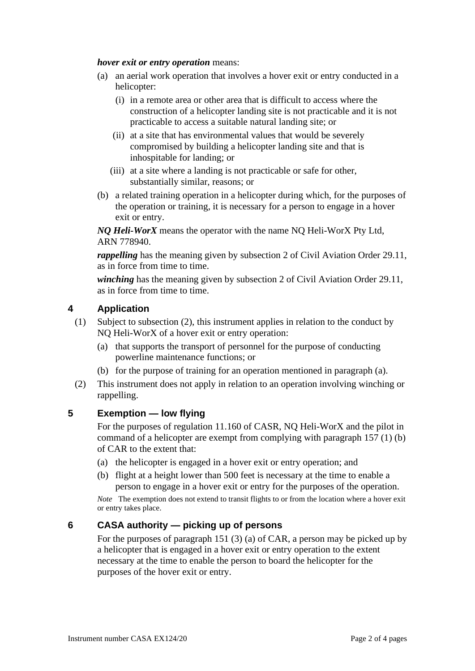### *hover exit or entry operation* means:

- (a) an aerial work operation that involves a hover exit or entry conducted in a helicopter:
	- (i) in a remote area or other area that is difficult to access where the construction of a helicopter landing site is not practicable and it is not practicable to access a suitable natural landing site; or
	- (ii) at a site that has environmental values that would be severely compromised by building a helicopter landing site and that is inhospitable for landing; or
	- (iii) at a site where a landing is not practicable or safe for other, substantially similar, reasons; or
- (b) a related training operation in a helicopter during which, for the purposes of the operation or training, it is necessary for a person to engage in a hover exit or entry.

*NQ Heli-WorX* means the operator with the name NQ Heli-WorX Pty Ltd, ARN 778940.

*rappelling* has the meaning given by subsection 2 of Civil Aviation Order 29.11, as in force from time to time.

*winching* has the meaning given by subsection 2 of Civil Aviation Order 29.11, as in force from time to time.

## **4 Application**

- (1) Subject to subsection (2), this instrument applies in relation to the conduct by NQ Heli-WorX of a hover exit or entry operation:
	- (a) that supports the transport of personnel for the purpose of conducting powerline maintenance functions; or
	- (b) for the purpose of training for an operation mentioned in paragraph (a).
- (2) This instrument does not apply in relation to an operation involving winching or rappelling.

## **5 Exemption — low flying**

For the purposes of regulation 11.160 of CASR, NQ Heli-WorX and the pilot in command of a helicopter are exempt from complying with paragraph 157 (1) (b) of CAR to the extent that:

- (a) the helicopter is engaged in a hover exit or entry operation; and
- (b) flight at a height lower than 500 feet is necessary at the time to enable a person to engage in a hover exit or entry for the purposes of the operation.

*Note* The exemption does not extend to transit flights to or from the location where a hover exit or entry takes place.

### **6 CASA authority — picking up of persons**

For the purposes of paragraph 151 (3) (a) of CAR, a person may be picked up by a helicopter that is engaged in a hover exit or entry operation to the extent necessary at the time to enable the person to board the helicopter for the purposes of the hover exit or entry.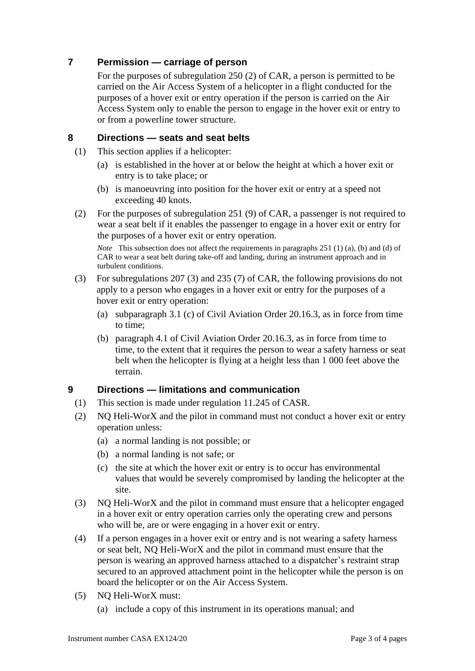# **7 Permission — carriage of person**

For the purposes of subregulation 250 (2) of CAR, a person is permitted to be carried on the Air Access System of a helicopter in a flight conducted for the purposes of a hover exit or entry operation if the person is carried on the Air Access System only to enable the person to engage in the hover exit or entry to or from a powerline tower structure.

# **8 Directions — seats and seat belts**

- (1) This section applies if a helicopter:
	- (a) is established in the hover at or below the height at which a hover exit or entry is to take place; or
	- (b) is manoeuvring into position for the hover exit or entry at a speed not exceeding 40 knots.
- (2) For the purposes of subregulation 251 (9) of CAR, a passenger is not required to wear a seat belt if it enables the passenger to engage in a hover exit or entry for the purposes of a hover exit or entry operation.

*Note* This subsection does not affect the requirements in paragraphs 251 (1) (a), (b) and (d) of CAR to wear a seat belt during take-off and landing, during an instrument approach and in turbulent conditions.

- (3) For subregulations 207 (3) and 235 (7) of CAR, the following provisions do not apply to a person who engages in a hover exit or entry for the purposes of a hover exit or entry operation:
	- (a) subparagraph 3.1 (c) of Civil Aviation Order 20.16.3, as in force from time to time;
	- (b) paragraph 4.1 of Civil Aviation Order 20.16.3, as in force from time to time, to the extent that it requires the person to wear a safety harness or seat belt when the helicopter is flying at a height less than 1 000 feet above the terrain.

# **9 Directions — limitations and communication**

- (1) This section is made under regulation 11.245 of CASR.
- (2) NQ Heli-WorX and the pilot in command must not conduct a hover exit or entry operation unless:
	- (a) a normal landing is not possible; or
	- (b) a normal landing is not safe; or
	- (c) the site at which the hover exit or entry is to occur has environmental values that would be severely compromised by landing the helicopter at the site.
- (3) NQ Heli-WorX and the pilot in command must ensure that a helicopter engaged in a hover exit or entry operation carries only the operating crew and persons who will be, are or were engaging in a hover exit or entry.
- (4) If a person engages in a hover exit or entry and is not wearing a safety harness or seat belt, NQ Heli-WorX and the pilot in command must ensure that the person is wearing an approved harness attached to a dispatcher's restraint strap secured to an approved attachment point in the helicopter while the person is on board the helicopter or on the Air Access System.
- (5) NQ Heli-WorX must:
	- (a) include a copy of this instrument in its operations manual; and